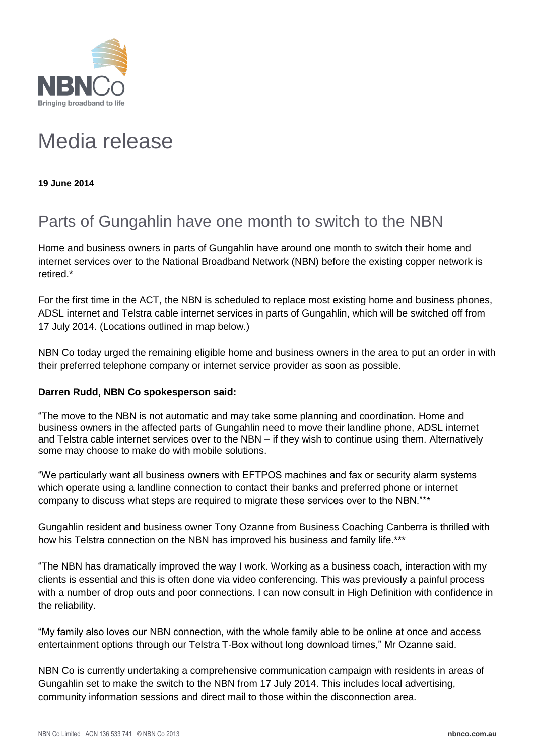

# Media release

**19 June 2014**

## Parts of Gungahlin have one month to switch to the NBN

Home and business owners in parts of Gungahlin have around one month to switch their home and internet services over to the National Broadband Network (NBN) before the existing copper network is retired.\*

For the first time in the ACT, the NBN is scheduled to replace most existing home and business phones, ADSL internet and Telstra cable internet services in parts of Gungahlin, which will be switched off from 17 July 2014. (Locations outlined in map below.)

NBN Co today urged the remaining eligible home and business owners in the area to put an order in with their preferred telephone company or internet service provider as soon as possible.

### **Darren Rudd, NBN Co spokesperson said:**

"The move to the NBN is not automatic and may take some planning and coordination. Home and business owners in the affected parts of Gungahlin need to move their landline phone, ADSL internet and Telstra cable internet services over to the NBN – if they wish to continue using them. Alternatively some may choose to make do with mobile solutions.

"We particularly want all business owners with EFTPOS machines and fax or security alarm systems which operate using a landline connection to contact their banks and preferred phone or internet company to discuss what steps are required to migrate these services over to the NBN."\*\*

Gungahlin resident and business owner Tony Ozanne from Business Coaching Canberra is thrilled with how his Telstra connection on the NBN has improved his business and family life.\*\*\*

"The NBN has dramatically improved the way I work. Working as a business coach, interaction with my clients is essential and this is often done via video conferencing. This was previously a painful process with a number of drop outs and poor connections. I can now consult in High Definition with confidence in the reliability.

"My family also loves our NBN connection, with the whole family able to be online at once and access entertainment options through our Telstra T-Box without long download times," Mr Ozanne said.

NBN Co is currently undertaking a comprehensive communication campaign with residents in areas of Gungahlin set to make the switch to the NBN from 17 July 2014. This includes local advertising, community information sessions and direct mail to those within the disconnection area.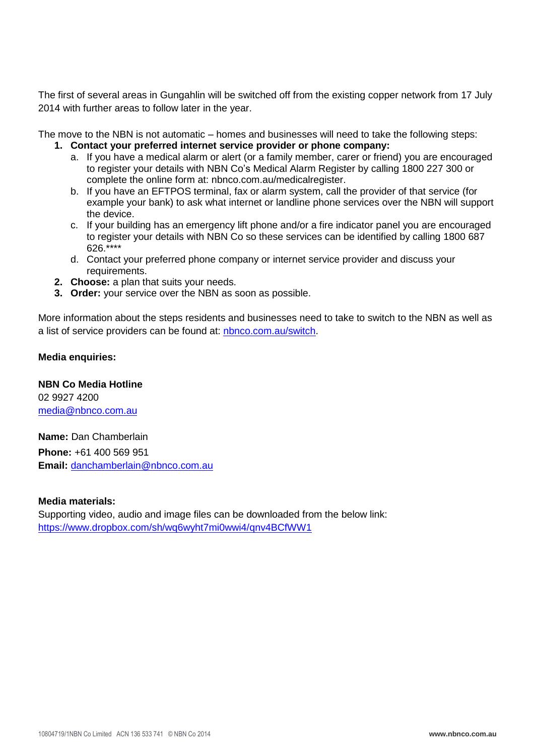The first of several areas in Gungahlin will be switched off from the existing copper network from 17 July 2014 with further areas to follow later in the year.

The move to the NBN is not automatic – homes and businesses will need to take the following steps:

### **1. Contact your preferred internet service provider or phone company:**

- a. If you have a medical alarm or alert (or a family member, carer or friend) you are encouraged to register your details with NBN Co's Medical Alarm Register by calling 1800 227 300 or complete the online form at: [nbnco.com.au/medicalregister.](http://www.nbnco.com.au/medicalregister)
- b. If you have an EFTPOS terminal, fax or alarm system, call the provider of that service (for example your bank) to ask what internet or landline phone services over the NBN will support the device.
- c. If your building has an emergency lift phone and/or a fire indicator panel you are encouraged to register your details with NBN Co so these services can be identified by calling 1800 687 626.\*\*\*\*
- d. Contact your preferred phone company or internet service provider and discuss your requirements.
- **2. Choose:** a plan that suits your needs.
- **3. Order:** your service over the NBN as soon as possible.

More information about the steps residents and businesses need to take to switch to the NBN as well as a list of service providers can be found at: [nbnco.com.au/switch.](http://www.nbnco.com.au/switch)

#### **Media enquiries:**

**NBN Co Media Hotline** 02 9927 4200 [media@nbnco.com.au](mailto:media@nbnco.com.au)

**Name:** Dan Chamberlain **Phone:** +61 400 569 951 **Email:** [danchamberlain@nbnco.com.au](mailto:danchamberlain@nbnco.com.au)

#### **Media materials:**

Supporting video, audio and image files can be downloaded from the below link: <https://www.dropbox.com/sh/wq6wyht7mi0wwi4/qnv4BCfWW1>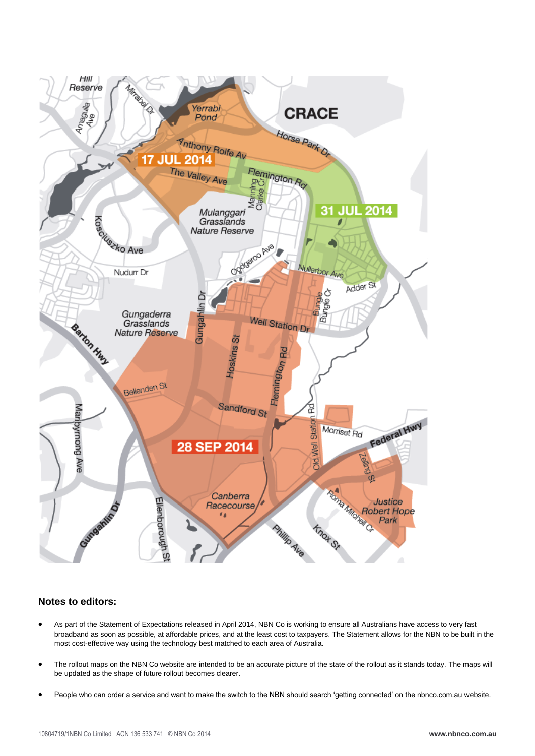

### **Notes to editors:**

- As part of the Statement of Expectations released in April 2014, NBN Co is working to ensure all Australians have access to very fast broadband as soon as possible, at affordable prices, and at the least cost to taxpayers. The Statement allows for the NBN to be built in the most cost-effective way using the technology best matched to each area of Australia.
- The rollout maps on the NBN Co website are intended to be an accurate picture of the state of the rollout as it stands today. The maps will be updated as the shape of future rollout becomes clearer.
- People who can order a service and want to make the switch to the NBN should search 'getting connected' on the nbnco.com.au website.